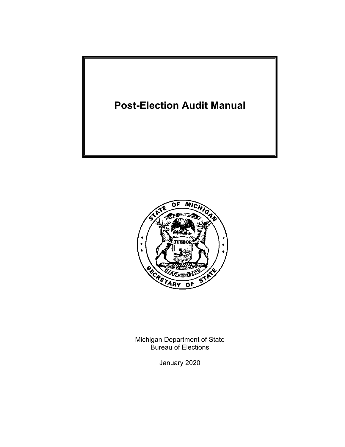



Michigan Department of State Bureau of Elections

January 2020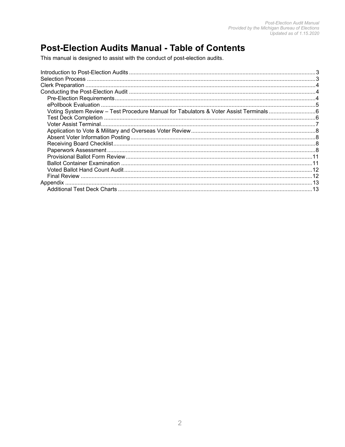### **Post-Election Audits Manual - Table of Contents**

This manual is designed to assist with the conduct of post-election audits.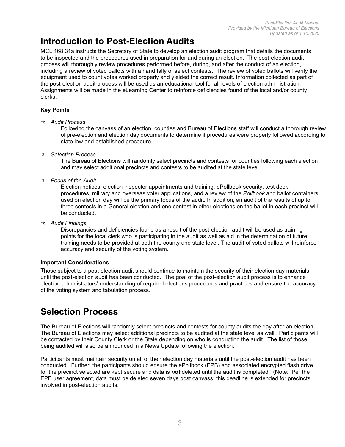## **Introduction to Post-Election Audits**

MCL 168.31a instructs the Secretary of State to develop an election audit program that details the documents to be inspected and the procedures used in preparation for and during an election. The post-election audit process will thoroughly review procedures performed before, during, and after the conduct of an election, including a review of voted ballots with a hand tally of select contests. The review of voted ballots will verify the equipment used to count votes worked properly and yielded the correct result. Information collected as part of the post-election audit process will be used as an educational tool for all levels of election administration. Assignments will be made in the eLearning Center to reinforce deficiencies found of the local and/or county clerks.

#### **Key Points**

*Audit Process*

Following the canvass of an election, counties and Bureau of Elections staff will conduct a thorough review of pre-election and election day documents to determine if procedures were properly followed according to state law and established procedure.

*Selection Process*

The Bureau of Elections will randomly select precincts and contests for counties following each election and may select additional precincts and contests to be audited at the state level.

*Focus of the Audit*

Election notices, election inspector appointments and training, ePollbook security, test deck procedures, military and overseas voter applications, and a review of the *Pollbook* and ballot containers used on election day will be the primary focus of the audit. In addition, an audit of the results of up to three contests in a General election and one contest in other elections on the ballot in each precinct will be conducted.

*Audit Findings*

Discrepancies and deficiencies found as a result of the post-election audit will be used as training points for the local clerk who is participating in the audit as well as aid in the determination of future training needs to be provided at both the county and state level. The audit of voted ballots will reinforce accuracy and security of the voting system.

#### **Important Considerations**

Those subject to a post-election audit should continue to maintain the security of their election day materials until the post-election audit has been conducted. The goal of the post-election audit process is to enhance election administrators' understanding of required elections procedures and practices and ensure the accuracy of the voting system and tabulation process.

### **Selection Process**

The Bureau of Elections will randomly select precincts and contests for county audits the day after an election. The Bureau of Elections may select additional precincts to be audited at the state level as well. Participants will be contacted by their County Clerk or the State depending on who is conducting the audit. The list of those being audited will also be announced in a News Update following the election.

Participants must maintain security on all of their election day materials until the post-election audit has been conducted. Further, the participants should ensure the ePollbook (EPB) and associated encrypted flash drive for the precinct selected are kept secure and data is *not* deleted until the audit is completed. (Note: Per the EPB user agreement, data must be deleted seven days post canvass; this deadline is extended for precincts involved in post-election audits.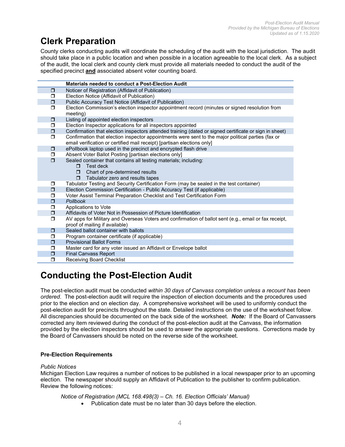### **Clerk Preparation**

County clerks conducting audits will coordinate the scheduling of the audit with the local jurisdiction. The audit should take place in a public location and when possible in a location agreeable to the local clerk. As a subject of the audit, the local clerk and county clerk must provide all materials needed to conduct the audit of the specified precinct **and** associated absent voter counting board.

|        | Materials needed to conduct a Post-Election Audit                                                                                                                              |
|--------|--------------------------------------------------------------------------------------------------------------------------------------------------------------------------------|
| $\Box$ | Noticer of Registration (Affidavit of Publication)                                                                                                                             |
| σ      | Election Notice (Affidavit of Publication)                                                                                                                                     |
| $\Box$ | Public Accuracy Test Notice (Affidavit of Publication)                                                                                                                         |
| $\Box$ | Election Commission's election inspector appointment record (minutes or signed resolution from<br>meeting)                                                                     |
| $\Box$ | Listing of appointed election inspectors                                                                                                                                       |
| $\Box$ | Election Inspector applications for all inspectors appointed                                                                                                                   |
| $\Box$ | Confirmation that election inspectors attended training (dated or signed certificate or sign in sheet)                                                                         |
| $\Box$ | Confirmation that election inspector appointments were sent to the major political parties (fax or<br>email verification or certified mail receipt) [partisan elections only]  |
| $\Box$ | ePollbook laptop used in the precinct and encrypted flash drive                                                                                                                |
| $\Box$ | Absent Voter Ballot Posting [partisan elections only]                                                                                                                          |
| $\Box$ | Sealed container that contains all testing materials; including:<br>Test deck<br>п.<br>Chart of pre-determined results<br>$\Box$<br>$\Box$<br>Tabulator zero and results tapes |
| $\Box$ | Tabulator Testing and Security Certification Form (may be sealed in the test container)                                                                                        |
| $\Box$ | Election Commission Certification - Public Accuracy Test (if applicable)                                                                                                       |
| ◘      | Voter Assist Terminal Preparation Checklist and Test Certification Form                                                                                                        |
| $\Box$ | Pollbook                                                                                                                                                                       |
| $\Box$ | Applications to Vote                                                                                                                                                           |
| $\Box$ | Affidavits of Voter Not in Possession of Picture Identification                                                                                                                |
| $\Box$ | AV apps for Military and Overseas Voters and confirmation of ballot sent (e.g., email or fax receipt,<br>proof of mailing if available)                                        |
| $\Box$ | Sealed ballot container with ballots                                                                                                                                           |
| ◘      | Program container certificate (if applicable)                                                                                                                                  |
| $\Box$ | <b>Provisional Ballot Forms</b>                                                                                                                                                |
| $\Box$ | Master card for any voter issued an Affidavit or Envelope ballot                                                                                                               |
| $\Box$ | <b>Final Canvass Report</b>                                                                                                                                                    |
| Ω      | Receiving Board Checklist                                                                                                                                                      |

### **Conducting the Post-Election Audit**

The post-election audit must be conducted *within 30 days of Canvass completion unless a recount has been ordered*. The post-election audit will require the inspection of election documents and the procedures used prior to the election and on election day. A comprehensive worksheet will be used to uniformly conduct the post-election audit for precincts throughout the state. Detailed instructions on the use of the worksheet follow. All discrepancies should be documented on the back side of the worksheet. *Note:*If the Board of Canvassers corrected any item reviewed during the conduct of the post-election audit at the Canvass, the information provided by the election inspectors should be used to answer the appropriate questions. Corrections made by the Board of Canvassers should be noted on the reverse side of the worksheet.

#### **Pre-Election Requirements**

#### *Public Notices*

Michigan Election Law requires a number of notices to be published in a local newspaper prior to an upcoming election. The newspaper should supply an Affidavit of Publication to the publisher to confirm publication. Review the following notices:

*Notice of Registration (MCL 168.498(3) – Ch. 16. Election Officials' Manual)*

• Publication date must be no later than 30 days before the election.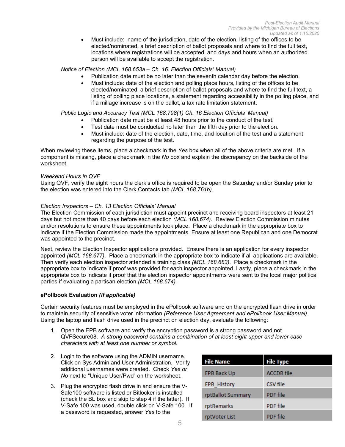• Must include: name of the jurisdiction, date of the election, listing of the offices to be elected/nominated, a brief description of ballot proposals and where to find the full text, locations where registrations will be accepted, and days and hours when an authorized person will be available to accept the registration.

#### *Notice of Election (MCL 168.653a – Ch. 16. Election Officials' Manual)*

- Publication date must be no later than the seventh calendar day before the election.
- Must include: date of the election and polling place hours, listing of the offices to be elected/nominated, a brief description of ballot proposals and where to find the full text, a listing of polling place locations, a statement regarding accessibility in the polling place, and if a millage increase is on the ballot, a tax rate limitation statement.

#### *Public Logic and Accuracy Test (MCL 168.798(1) Ch. 16 Election Officials' Manual)*

- Publication date must be at least 48 hours prior to the conduct of the test.
- Test date must be conducted no later than the fifth day prior to the election.
- Must include: date of the election, date, time, and location of the test and a statement regarding the purpose of the test.

When reviewing these items, place a checkmark in the *Yes* box when all of the above criteria are met. If a component is missing, place a checkmark in the *No* box and explain the discrepancy on the backside of the worksheet.

#### *Weekend Hours in QVF*

Using QVF, verify the eight hours the clerk's office is required to be open the Saturday and/or Sunday prior to the election was entered into the Clerk Contacts tab *(MCL 168.761b).*

#### *Election Inspectors – Ch. 13 Election Officials' Manual*

The Election Commission of each jurisdiction must appoint precinct and receiving board inspectors at least 21 days but not more than 40 days before each election *(MCL 168.674)*. Review Election Commission minutes and/or resolutions to ensure these appointments took place. Place a checkmark in the appropriate box to indicate if the Election Commission made the appointments. Ensure at least one Republican and one Democrat was appointed to the precinct.

Next, review the Election Inspector applications provided. Ensure there is an application for every inspector appointed *(MCL 168.677)*. Place a checkmark in the appropriate box to indicate if all applications are available. Then verify each election inspector attended a training class *(MCL 168.683)*. Place a checkmark in the appropriate box to indicate if proof was provided for each inspector appointed. Lastly, place a checkmark in the appropriate box to indicate if proof that the election inspector appointments were sent to the local major political parties if evaluating a partisan election *(MCL 168.674).*

#### **ePollbook Evaluation** *(if applicable)*

Certain security features must be employed in the ePollbook software and on the encrypted flash drive in order to maintain security of sensitive voter information *(Reference User Agreement and ePollbook User Manual)*. Using the laptop and flash drive used in the precinct on election day, evaluate the following:

- 1. Open the EPB software and verify the encryption password is a strong password and not QVFSecure08. *A strong password contains a combination of at least eight upper and lower case characters with at least one number or symbol.*
- 2. Login to the software using the ADMIN username. Click on Sys Admin and User Administration. Verify additional usernames were created. Check *Yes or No* next to "Unique User/Pwd" on the worksheet.
- 3. Plug the encrypted flash drive in and ensure the V-Safe100 software is listed or Bitlocker is installed (check the BL box and skip to step 4 if the latter). If V-Safe 100 was used, double click on V-Safe 100. If a password is requested, answer *Yes* to the

| <b>File Name</b>  | <b>File Type</b>  |
|-------------------|-------------------|
| EPB Back Up       | <b>ACCDB</b> file |
| EPB History       | CSV file          |
| rptBallot Summary | <b>PDF</b> file   |
| rptRemarks        | <b>PDF</b> file   |
| rptVoter List     | <b>PDF</b> file   |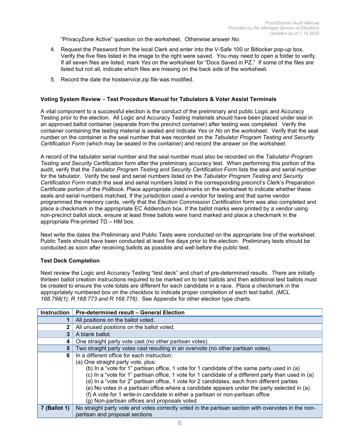"PrivacyZone Active" question on the worksheet. Otherwise answer *No.*

- 4. Request the Password from the local Clerk and enter into the V-Safe 100 or Bitlocker pop-up box. Verify the five files listed in the image to the right were saved. You may need to open a folder to verify. If all seven files are listed, mark *Yes* on the worksheet for "Docs Saved in PZ." If some of the files are listed but not all, indicate which files are missing on the back side of the worksheet.
- 5. Record the date the hostservice.zip file was modified.

#### **Voting System Review** *–* **Test Procedure Manual for Tabulators & Voter Assist Terminals**

A vital component to a successful election is the conduct of the preliminary and public Logic and Accuracy Testing prior to the election. All Logic and Accuracy Testing materials should have been placed under seal in an approved ballot container (separate from the precinct container) after testing was completed. Verify the container containing the testing material is sealed and indicate *Yes or No* on the worksheet. Verify that the seal number on the container is the seal number that was recorded on the *Tabulator Program Testing and Security Certification Form* (which may be sealed in the container) and record the answer on the worksheet.

A record of the tabulator serial number and the seal number must also be recorded on the *Tabulator Program Testing and Security Certification* form after the preliminary accuracy test. When performing this portion of the audit, verify that the *Tabulator Program Testing and Security Certification Form* lists the seal and serial number for the tabulator. Verify the seal and serial numbers listed on the *Tabulator Program Testing and Security Certification Form* match the seal and serial numbers listed in the corresponding precinct's Clerk's Preparation Certificate portion of the *Pollbook*. Place appropriate checkmarks on the worksheet to indicate whether these seals and serial numbers matched. If the jurisdiction used a vendor for testing and that same vendor programmed the memory cards, verify that the *Election Commission Certification* form was also completed and place a checkmark in the appropriate EC Addendum box. If the ballot marks were printed by a vendor using non-precinct ballot stock, ensure at least three ballots were hand marked and place a checkmark in the appropriate Pre-printed TD – HM box.

Next write the dates the Preliminary and Public Tests were conducted on the appropriate line of the worksheet. Public Tests should have been conducted at least five days prior to the election. Preliminary tests should be conducted as soon after receiving ballots as possible and well before the public test.

#### **Test Deck Completion**

Next review the Logic and Accuracy Testing "test deck" and chart of pre-determined results. There are initially thirteen ballot creation instructions required to be marked on to test ballots and then additional test ballots must be created to ensure the vote totals are different for each candidate in a race. Place a checkmark in the appropriately numbered box on the checkbox to indicate proper completion of each test ballot. *(MCL 168.798(1), R 168.773 and R 168.776).* See Appendix for other election type charts.

|              | Instruction   Pre-determined result - General Election                                                                                                                                                                                                                                                                                                                                                                                                                                                                                                                                                                   |
|--------------|--------------------------------------------------------------------------------------------------------------------------------------------------------------------------------------------------------------------------------------------------------------------------------------------------------------------------------------------------------------------------------------------------------------------------------------------------------------------------------------------------------------------------------------------------------------------------------------------------------------------------|
|              | All positions on the ballot voted.                                                                                                                                                                                                                                                                                                                                                                                                                                                                                                                                                                                       |
|              | All unused positions on the ballot voted.                                                                                                                                                                                                                                                                                                                                                                                                                                                                                                                                                                                |
| 3            | A blank ballot.                                                                                                                                                                                                                                                                                                                                                                                                                                                                                                                                                                                                          |
| 4            | One straight party vote cast (no other partisan votes).                                                                                                                                                                                                                                                                                                                                                                                                                                                                                                                                                                  |
| 5            | Two straight party votes cast resulting in an overvote (no other partisan votes).                                                                                                                                                                                                                                                                                                                                                                                                                                                                                                                                        |
| 6            | In a different office for each instruction:<br>(a) One straight party vote, plus:<br>(b) In a "vote for 1" partisan office, 1 vote for 1 candidate of the same party used in (a)<br>(c) In a "vote for 1" partisan office, 1 vote for 1 candidate of a different party than used in (a)<br>(d) In a "vote for 2" partisan office, 1 vote for 2 candidates, each from different parties<br>(e) No votes in a partisan office where a candidate appears under the party selected in (a)<br>(f) A vote for 1 write-in candidate in either a partisan or non-partisan office<br>(g) Non-partisan offices and proposals voted |
| 7 (Ballot 1) | No straight party vote and votes correctly voted in the partisan section with overvotes in the non-<br>partisan and proposal sections                                                                                                                                                                                                                                                                                                                                                                                                                                                                                    |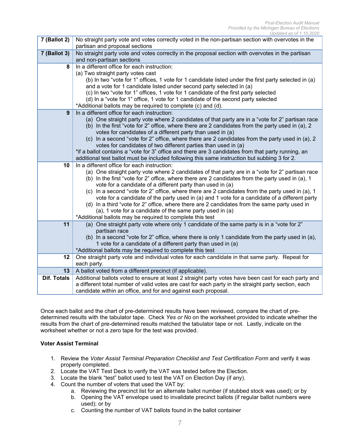| $\overline{7}$ (Ballot 2) | No straight party vote and votes correctly voted in the non-partisan section with overvotes in the                                                                |
|---------------------------|-------------------------------------------------------------------------------------------------------------------------------------------------------------------|
|                           | partisan and proposal sections                                                                                                                                    |
| 7 (Ballot 3)              | No straight party vote and votes correctly in the proposal section with overvotes in the partisan                                                                 |
|                           | and non-partisan sections                                                                                                                                         |
| 8                         | In a different office for each instruction:                                                                                                                       |
|                           | (a) Two straight party votes cast                                                                                                                                 |
|                           | (b) In two "vote for 1" offices, 1 vote for 1 candidate listed under the first party selected in (a)                                                              |
|                           | and a vote for 1 candidate listed under second party selected in (a)                                                                                              |
|                           | (c) In two "vote for 1" offices, 1 vote for 1 candidate of the first party selected                                                                               |
|                           | (d) In a "vote for 1" office, 1 vote for 1 candidate of the second party selected                                                                                 |
|                           | *Additional ballots may be required to complete (c) and (d).                                                                                                      |
| 9                         | In a different office for each instruction:                                                                                                                       |
|                           | (a) One straight party vote where 2 candidates of that party are in a "vote for 2" partisan race                                                                  |
|                           | (b) In the first "vote for 2" office, where there are 2 candidates from the party used in (a), 2                                                                  |
|                           | votes for candidates of a different party than used in (a)                                                                                                        |
|                           | (c) In a second "vote for 2" office, where there are 2 candidates from the party used in (a), 2<br>votes for candidates of two different parties than used in (a) |
|                           | *if a ballot contains a "vote for 3" office and there are 3 candidates from that party running, an                                                                |
|                           | additional test ballot must be included following this same instruction but subbing 3 for 2.                                                                      |
| 10                        | In a different office for each instruction:                                                                                                                       |
|                           | (a) One straight party vote where 2 candidates of that party are in a "vote for 2" partisan race                                                                  |
|                           | (b) In the first "vote for 2" office, where there are 2 candidates from the party used in (a), 1                                                                  |
|                           | vote for a candidate of a different party than used in (a)                                                                                                        |
|                           | (c) In a second "vote for 2" office, where there are 2 candidates from the party used in (a), 1                                                                   |
|                           | vote for a candidate of the party used in (a) and 1 vote for a candidate of a different party                                                                     |
|                           | (d) In a third "vote for 2" office, where there are 2 candidates from the same party used in                                                                      |
|                           | (a), 1 vote for a candidate of the same party used in (a)                                                                                                         |
|                           | *Additional ballots may be required to complete this test                                                                                                         |
| 11                        | (a) One straight party vote where only 1 candidate of the same party is in a "vote for 2"                                                                         |
|                           | partisan race                                                                                                                                                     |
|                           | (b) In a second "vote for 2" office, where there is only 1 candidate from the party used in (a),                                                                  |
|                           | 1 vote for a candidate of a different party than used in (a)                                                                                                      |
|                           | *Additional ballots may be required to complete this test                                                                                                         |
| 12                        | One straight party vote and individual votes for each candidate in that same party. Repeat for                                                                    |
|                           | each party.                                                                                                                                                       |
| 13                        | A ballot voted from a different precinct (if applicable).                                                                                                         |
| <b>Dif. Totals</b>        | Additional ballots voted to ensure at least 2 straight party votes have been cast for each party and                                                              |
|                           | a different total number of valid votes are cast for each party in the straight party section, each                                                               |
|                           | candidate within an office, and for and against each proposal.                                                                                                    |

Once each ballot and the chart of pre-determined results have been reviewed, compare the chart of predetermined results with the tabulator tape. Check *Yes or No* on the worksheet provided to indicate whether the results from the chart of pre-determined results matched the tabulator tape or not. Lastly, indicate on the worksheet whether or not a zero tape for the test was provided.

#### **Voter Assist Terminal**

- 1. Review the *Voter Assist Terminal Preparation Checklist and Test Certification Form* and verify it was properly completed.
- 2. Locate the VAT Test Deck to verify the VAT was tested before the Election.
- 3. Locate the blank "test" ballot used to test the VAT on Election Day (if any).
- 4. Count the number of voters that used the VAT by:
	- a. Reviewing the precinct list for an alternate ballot number (if stubbed stock was used); or by
	- b. Opening the VAT envelope used to invalidate precinct ballots (if regular ballot numbers were used); or by
	- c. Counting the number of VAT ballots found in the ballot container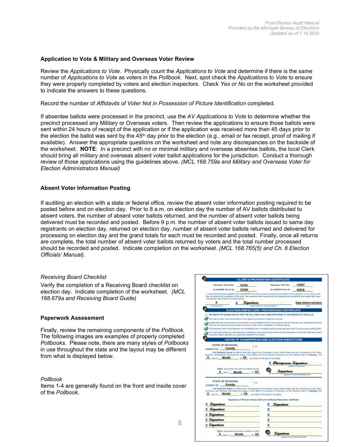#### **Application to Vote & Military and Overseas Voter Review**

Review the *Applications to Vote*. Physically count the *Applications to Vote* and determine if there is the same number of *Applications to Vote* as voters in the *Pollbook*. Next, spot check the *Applications to Vote* to ensure they were properly completed by voters and election inspectors. Check *Yes or No* on the worksheet provided to indicate the answers to these questions.

Record the number of *Affidavits of Voter Not in Possession of Picture Identification* completed*.*

If absentee ballots were processed in the precinct, use the *AV Applications to Vote* to determine whether the precinct processed any Military or Overseas voters. Then review the applications to ensure those ballots were sent within 24 hours of receipt of the application or if the application was received more than 45 days prior to the election the ballot was sent by the  $45<sup>th</sup>$  day prior to the election (e.g., email or fax receipt, proof of mailing if available). Answer the appropriate questions on the worksheet and note any discrepancies on the backside of the worksheet. **NOTE**: In a precinct with no or minimal military and overseas absentee ballots, the local Clerk should bring all military and overseas absent voter ballot applications for the jurisdiction. Conduct a thorough review of those applications using the guidelines above. *(MCL 168.759a and Military and Overseas Voter for Election Administrators Manual)*

#### **Absent Voter Information Posting**

If auditing an election with a state or federal office, review the absent voter information posting required to be posted before and on election day. Prior to 8 a.m. on election day the number of AV ballots distributed to absent voters, the number of absent voter ballots returned, and the number of absent voter ballots being delivered must be recorded and posted. Before 9 p.m. the number of absent voter ballots issued to same day registrants on election day, returned on election day, number of absent voter ballots returned and delivered for processing on election day and the grand totals for each must be recorded and posted. Finally, once all returns are complete, the total number of absent voter ballots returned by voters and the total number processed should be recorded and posted. Indicate completion on the worksheet. *(MCL 168.765(5) and Ch. 6 Election Officials' Manual).*

#### *Receiving Board Checklist*

Verify the completion of a Receiving Board checklist on election day. Indicate completion of the worksheet. *(MCL 168.679a and Receiving Board Guide)*

#### **Paperwork Assessment**

Finally, review the remaining components of the *Pollbook*. The following images are examples of properly completed *Pollbooks*. Please note, there are many styles of *Pollbooks* in use throughout the state and the layout may be different from what is displayed below.

#### *Pollbook*

Items 1-4 are generally found on the front and inside cover of the *Pollbook*.

| <b>Tabulator Serial No.</b>                                                                       | 12345                                                                                           |                                            | <b>Tabulator Seal No.</b>            | 34567                                                                                                                                                                                                                                                             |
|---------------------------------------------------------------------------------------------------|-------------------------------------------------------------------------------------------------|--------------------------------------------|--------------------------------------|-------------------------------------------------------------------------------------------------------------------------------------------------------------------------------------------------------------------------------------------------------------------|
| AutoMARK Serial No.                                                                               | 23456                                                                                           |                                            | <b>AutoMARK Seal No.</b>             | 45678                                                                                                                                                                                                                                                             |
| bearing the seal numbers recorded above.                                                          |                                                                                                 |                                            |                                      | I certify that the above tabulator and AutoMARK have been properly prepared and tested for this election in accordance with<br>law, and that at the completion of the tests, the programs were inserted into the tabulator and AutoMARK and sealed with seals     |
| #                                                                                                 | Sianature<br>x                                                                                  |                                            |                                      | Date before election                                                                                                                                                                                                                                              |
| Ward/Precinct No.                                                                                 |                                                                                                 | Signature of Clerk or Authorized Assistant |                                      | Date                                                                                                                                                                                                                                                              |
|                                                                                                   | <b>ELECTION INSPECTORS' PREPARATION CERTIFICATE</b>                                             |                                            |                                      |                                                                                                                                                                                                                                                                   |
|                                                                                                   | WE CERTIFY BY SIGNING BELOW THAT THE FOLLOWING WAS COMPLETED PRIOR TO THE OPENING OF THE POLLS: |                                            |                                      |                                                                                                                                                                                                                                                                   |
|                                                                                                   | The oath of office was administered to and signed by all election inspectors present.           |                                            |                                      |                                                                                                                                                                                                                                                                   |
|                                                                                                   | same as the serial and seal numbers recorded on the Clerk's Preparation Certificate above.      |                                            |                                      | Verified that the serial number of the tabulator and AutoMARK and the seals used to seal the tabulator and AutoMARK were the                                                                                                                                      |
|                                                                                                   |                                                                                                 |                                            |                                      | All preparation tests of the tabulator and AutoMARK were completed and the equipment was found to be in proper working order.                                                                                                                                     |
|                                                                                                   | instruction ballot, tabulator zero tape and AutoMARK test ballot.                               |                                            |                                      | The ballot was verified by comparing each candidate's name and the placement of any propositions on the ballot with the precinct                                                                                                                                  |
|                                                                                                   | <b>OATHS OF CHAIRPERSON AND ELECTION INSPECTORS</b>                                             |                                            |                                      |                                                                                                                                                                                                                                                                   |
|                                                                                                   |                                                                                                 |                                            |                                      |                                                                                                                                                                                                                                                                   |
|                                                                                                   |                                                                                                 |                                            |                                      |                                                                                                                                                                                                                                                                   |
| <b>STATE OF MICHIGAN.</b><br>$X_{\text{day of}}$ Month 20 XX according to the best of my ability. | <b>SS</b>                                                                                       |                                            |                                      | I Do Solemnly Swear (or affirm) that I will support the Constitution of the United States and the Constitution of this State,<br>and that I will faithfully discharge the duties of the Office of Precinct Board Chairperson at the Election held on Tuesday, the |
| COUNTY OF County                                                                                  | Taken, subscribed and sworn to before me this                                                   |                                            |                                      |                                                                                                                                                                                                                                                                   |
|                                                                                                   | X day of <b>Month</b> 20 XX                                                                     |                                            | X Chairperson Signature<br>Signature |                                                                                                                                                                                                                                                                   |
|                                                                                                   |                                                                                                 |                                            |                                      | <b>Signature of Person Administering Oath</b>                                                                                                                                                                                                                     |
| <b>STATE OF MICHIGAN.</b>                                                                         |                                                                                                 |                                            |                                      |                                                                                                                                                                                                                                                                   |
| <b>County</b><br>COUNTY OF                                                                        | <b>SS</b>                                                                                       |                                            |                                      |                                                                                                                                                                                                                                                                   |
|                                                                                                   |                                                                                                 |                                            |                                      | I Do Solemnly Swear (or affirm) that I will support the Constitution of the United States and the Constitution of this State,                                                                                                                                     |
| <b>X</b> day of <b>Month</b>                                                                      |                                                                                                 |                                            |                                      | and that I will faithfully discharge the duties of the Office of Inspector of Elections at the Election held on Tuesday, the                                                                                                                                      |
|                                                                                                   | 20 XX according to the best of my ability.                                                      |                                            |                                      |                                                                                                                                                                                                                                                                   |
|                                                                                                   | Signatures of Persons Taking Oath and Certifying Preparation Certificate                        |                                            |                                      |                                                                                                                                                                                                                                                                   |
| gaature                                                                                           |                                                                                                 | x                                          | Signature                            |                                                                                                                                                                                                                                                                   |
|                                                                                                   |                                                                                                 | x                                          |                                      |                                                                                                                                                                                                                                                                   |
|                                                                                                   |                                                                                                 | x                                          |                                      |                                                                                                                                                                                                                                                                   |
| Signature<br>Signature<br>Signature                                                               |                                                                                                 |                                            |                                      |                                                                                                                                                                                                                                                                   |
|                                                                                                   |                                                                                                 | x                                          |                                      |                                                                                                                                                                                                                                                                   |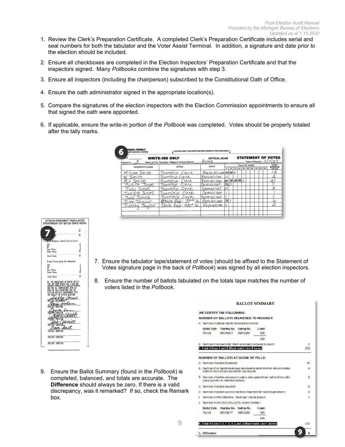- 1. Review the Clerk's Preparation Certificate. A completed Clerk's Preparation Certificate includes serial and seal numbers for both the tabulator and the Voter Assist Terminal. In addition, a signature and date prior to the election should be included.
- 2. Ensure all checkboxes are completed in the Election Inspectors' Preparation Certificate and that the inspectors signed. Many *Pollbooks* combine the signatures with step 3.
- 3. Ensure all inspectors (including the chairperson) subscribed to the Constitutional Oath of Office.
- 4. Ensure the oath administrator signed in the appropriate location(s).
- 5. Compare the signatures of the election inspectors with the Election Commission appointments to ensure all that signed the oath were appointed.
- 6. If applicable, ensure the write-in portion of the *Pollbook* was completed. Votes should be properly totaled after the tally marks.

|                  | <b>WRITE-INS ONLY</b>                               | <b>OPTICAL SCAN</b> |     |                              |                |  |  |  | <b>STATEMENT OF VOTES</b> |
|------------------|-----------------------------------------------------|---------------------|-----|------------------------------|----------------|--|--|--|---------------------------|
| Precinct #       | Name of City, Township, Village or School District: | Асме                |     |                              |                |  |  |  | Date of Election: 11/7/07 |
| CANDIDATE'S NAME | OFFICE                                              | PARTY               |     |                              | TALLY OF VOTES |  |  |  | <b>TOTAL</b><br>WRITE-IN  |
|                  |                                                     |                     |     | 5 10 15 20 25 30 35 40 45 50 |                |  |  |  |                           |
| William Smith    | Township Clerk                                      | Republican HAMHI    |     |                              |                |  |  |  | 12                        |
| W. Smith         | Township Clerk                                      | Republican          |     |                              |                |  |  |  | 2                         |
| Bill Smith       | Clerk<br>Township                                   | Republican          |     | <b>DAK DAK DAH-YAK</b>       |                |  |  |  | 2.                        |
| Jones<br>Tudith. | Clerk<br>Township                                   | Democrat            | 哪   |                              |                |  |  |  |                           |
| :Tudu :ToneS     | Township Clerk                                      | Democrat            |     |                              |                |  |  |  | 3                         |
| Judvith Jones    | Clerk<br>Town Chio                                  | Democrat            |     |                              |                |  |  |  |                           |
| Judy Johns       | Township<br>Clerk                                   | bemocrat            |     |                              |                |  |  |  |                           |
| Tim Taulor       | <b>State Reg-33rd</b>                               | Republican          | 7XK |                              |                |  |  |  |                           |
| Jimmu Taulor     | State Rep-33rd Dis                                  | Republican III      |     |                              |                |  |  |  | 2                         |
|                  |                                                     |                     |     |                              |                |  |  |  |                           |



- 7. Ensure the tabulator tape/statement of votes (should be affixed to the Statement of Votes signature page in the back of *Pollbook*) was signed by all election inspectors.
- 8. Ensure the number of ballots tabulated on the totals tape matches the number of voters listed in the *Pollbook*.

9

|    |                                      |                                                  |                                                      | <b>NUMBER OF BALLOTS DELIVERED TO PRECINCT:</b>                                |     |
|----|--------------------------------------|--------------------------------------------------|------------------------------------------------------|--------------------------------------------------------------------------------|-----|
|    |                                      |                                                  | A. Number of official ballots delivered to precind:  |                                                                                |     |
|    | <b>Ballot Style</b><br>[None]        | <b>Starting No. Ending No.</b><br>00000001       | 00000200                                             | Count<br>200                                                                   |     |
|    |                                      |                                                  |                                                      | 200                                                                            |     |
|    |                                      |                                                  |                                                      | B. Number of absent voter return envelopes recrived by board:                  | 2   |
|    |                                      |                                                  | C. Total of lines A and B (Must match Line K below): |                                                                                | 202 |
|    |                                      |                                                  | <b>NUMBER OF BALLOTS AT CLOSE OF PDLLS:</b>          |                                                                                |     |
|    |                                      | D. Number of ballots tabulated:                  |                                                      |                                                                                | 15  |
|    |                                      |                                                  | ballot or were not processed for any reason:         | E. Number of AV ballot envelopes delivered to piecinct which did not contair   | n   |
|    |                                      | place (spoiled or defective ballots):            |                                                      | F. Number of ballots reissued to voters who spriled their ballot at the pollin | 2   |
|    |                                      | G. Number of ballots rejected:                   |                                                      |                                                                                | o   |
|    |                                      |                                                  |                                                      | H. Number of ballots used by election inspectors for ballot duplications:      | o   |
|    |                                      |                                                  |                                                      |                                                                                | 1   |
|    |                                      | Number of PROVISIONAL "envelope" ballots issued: |                                                      |                                                                                |     |
|    |                                      |                                                  | J. Number of UNUSED BALLOTS (excess ballos):         |                                                                                |     |
|    | <b>Ballot Style</b><br><b>INonel</b> | Starting No. Ending No.<br>00000017              | 00000200                                             | Count<br>184                                                                   |     |
| I. |                                      |                                                  |                                                      | 184                                                                            |     |

9. Ensure the Ballot Summary (found in the *Pollbook*) is completed, balanced, and totals are accurate. The **Difference** should always be zero. If there is a valid discrepancy, was it remarked? If so, check the Remark box.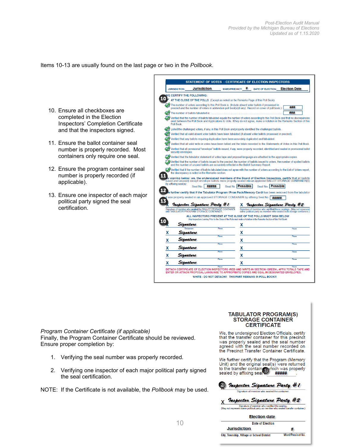Items 10-13 are usually found on the last page or two in the *Pollbook*.

- 10. Ensure all checkboxes are completed in the Election Inspectors' Completion Certificate and that the inspectors signed.
- 11. Ensure the ballot container seal number is properly recorded. Most containers only require one seal.
- 12. Ensure the program container seal number is properly recorded (if applicable).
- 13. Ensure one inspector of each major political party signed the seal certification.

|             | <b>JURISDICTION:</b> | <b>Jurisdiction</b>                                                                                                                                                                                      | <b>WARD/PRECINCT:</b> | #               | <b>DATE OF ELECTION:</b>     | <b>Election Date</b>                                                                                                                                                                                                                                          |
|-------------|----------------------|----------------------------------------------------------------------------------------------------------------------------------------------------------------------------------------------------------|-----------------------|-----------------|------------------------------|---------------------------------------------------------------------------------------------------------------------------------------------------------------------------------------------------------------------------------------------------------------|
|             |                      | <b><i>NE CERTIFY THE FOLLOWING:</i></b>                                                                                                                                                                  |                       |                 |                              |                                                                                                                                                                                                                                                               |
|             |                      | AT THE CLOSE OF THE POLLS (Except as noted on the Remarks Page of this Poll Book)                                                                                                                        |                       |                 |                              |                                                                                                                                                                                                                                                               |
|             |                      | The number of voters according to this Poll Book is (Include absent voter ballots if processed in<br>precinct and the number of voters in addendum poll book(s)(if any). Record on cover of poll book.): |                       |                 |                              | ###                                                                                                                                                                                                                                                           |
|             |                      |                                                                                                                                                                                                          |                       |                 |                              | ###                                                                                                                                                                                                                                                           |
|             | Poll Book.           |                                                                                                                                                                                                          |                       |                 |                              | Verified that the number of ballots tabulated equals the number of voters according to this Poll Book and that no discrepancies<br>exist between the Poll Book and Applications to Vote. If they do not agree, make a notation in the Remarks Section of this |
|             |                      | Listed the challenged voters, if any, in this Poll Book and properly identified the challenged ballots.                                                                                                  |                       |                 |                              |                                                                                                                                                                                                                                                               |
|             |                      | Verified that all valid absent voter ballots have been tabulated (if absent voter ballots processed in precinct).                                                                                        |                       |                 |                              |                                                                                                                                                                                                                                                               |
|             |                      | Verified that any ballots requiring duplication have been accurately duplicated and tabulated.                                                                                                           |                       |                 |                              |                                                                                                                                                                                                                                                               |
|             |                      |                                                                                                                                                                                                          |                       |                 |                              | Verified that all valid write-in votes have been tallied and the totals recorded to the Statements of Votes in this Poll Book.                                                                                                                                |
|             | security envelopes.  |                                                                                                                                                                                                          |                       |                 |                              | Verified that all provisional "envelope" ballots issued, if any were properly recorded, identified and sealed in provisional ballot                                                                                                                           |
|             |                      | Verified that the tabulator statement of votes tape and proposal language are attached to the appropriate copies.                                                                                        |                       |                 |                              |                                                                                                                                                                                                                                                               |
|             |                      | and the number of unused ballots are accurately reflected in the Ballot Summary Report.                                                                                                                  |                       |                 |                              | Verified that the number of ballots issued to the precinct, he number of ballots issued to voters, the number of spoiled ballots                                                                                                                              |
|             |                      |                                                                                                                                                                                                          |                       |                 |                              | Verified that if the number of ballots tabulated does not agree with the number of voters according to the List of Voters report.                                                                                                                             |
|             |                      | the discrepancy is noted in the Remarks section.                                                                                                                                                         |                       |                 |                              |                                                                                                                                                                                                                                                               |
|             |                      |                                                                                                                                                                                                          |                       |                 |                              | v signing below: we, the undersigned members of the Board of Election Inspectors, certify that all ballots<br>(used and unused) except envelope ballots were properly sealed into an approved BALLOT STORAGE CONTAINER(S)                                     |
|             | by affixing seal(s): | #####<br>Seal No.                                                                                                                                                                                        | Seal No.              | <b>Possible</b> | <b>Possible</b><br>Seal No.  |                                                                                                                                                                                                                                                               |
|             |                      |                                                                                                                                                                                                          |                       |                 |                              |                                                                                                                                                                                                                                                               |
|             |                      | t was properly sealed in an approved STORAGE CONTAINER by affixing Seal No.                                                                                                                              |                       |                 |                              | e further certify that if the Tabulator Program (Pron Pack/Memory Card) has been removed from the tabulator                                                                                                                                                   |
|             |                      |                                                                                                                                                                                                          |                       |                 | #####                        |                                                                                                                                                                                                                                                               |
|             |                      | Inspector Signature Party #1                                                                                                                                                                             |                       |                 | Inspector Signature Party #2 |                                                                                                                                                                                                                                                               |
|             |                      | Signature of member who sealed the BALLOT STORAGE CONTAINER<br>and TABULATOR PROGRAM STORAGE CONTAINER.                                                                                                  |                       |                 |                              | Signature of member who verified these sealings. (May not represent<br>same political party as member who sealed both storage containers.)                                                                                                                    |
|             |                      | ALL INSPECTORS PRESENT AT THE CLOSE OF THE POLLS MUST SIGN BELOW                                                                                                                                         |                       |                 |                              |                                                                                                                                                                                                                                                               |
|             |                      | (Any Inspectors Leaving Prior to the Close of the Polls nust make a Notation in the Remarks Section of this Poll Book)                                                                                   |                       |                 |                              |                                                                                                                                                                                                                                                               |
|             | Signature            |                                                                                                                                                                                                          | χ                     |                 |                              |                                                                                                                                                                                                                                                               |
|             |                      |                                                                                                                                                                                                          | Phone                 |                 |                              | Phone                                                                                                                                                                                                                                                         |
|             | Chairperson          |                                                                                                                                                                                                          |                       |                 |                              |                                                                                                                                                                                                                                                               |
|             | Sianature            |                                                                                                                                                                                                          | x                     |                 |                              |                                                                                                                                                                                                                                                               |
|             | Sianature            |                                                                                                                                                                                                          | Phone                 |                 |                              | Phone                                                                                                                                                                                                                                                         |
|             |                      |                                                                                                                                                                                                          | χ<br>Phone            |                 |                              | Phone                                                                                                                                                                                                                                                         |
| x<br>χ<br>х | Signature            |                                                                                                                                                                                                          | х                     |                 |                              |                                                                                                                                                                                                                                                               |
|             |                      |                                                                                                                                                                                                          | Phone<br>х            |                 |                              | Phone                                                                                                                                                                                                                                                         |
| х<br>x      | Sianature            |                                                                                                                                                                                                          | Phone<br>χ            |                 |                              | Phone                                                                                                                                                                                                                                                         |

### *Program Container Certificate (if applicable)*

Finally, the Program Container Certificate should be reviewed. Ensure proper completion by:

- 1. Verifying the seal number was properly recorded.
- 2. Verifying one inspector of each major political party signed the seal certification.
- NOTE: If the Certificate is not available, the *Pollbook* may be used.

#### **TABULATOR PROGRAM(S) STORAGE CONTAINER CERTIFICATE**

We, the undersigned Election Officials, certify that the transfer container for this precinct was properly sealed and the seal number agreed with the seal number recorded on the Precinct Transfer Container Certificate.

We further certify that the Program (Memory<br>Unit) and the original seal(s) were returned to the transfer contain which was properly<br>sealed by affixing seal with the was properly

|  | 2) Inspector Signature Party #1                              |  |
|--|--------------------------------------------------------------|--|
|  | Cinematures of computers only a monitorial than constational |  |

### x Inspector Signature Party #2

Signature of member who verified the sealing.<br>(May not represent same political party as member who sealed transfer container.)

| <b>Election date</b>                       |                   |  |  |  |
|--------------------------------------------|-------------------|--|--|--|
| Date of Election                           |                   |  |  |  |
| <b>Jurisdiction</b>                        | #                 |  |  |  |
| City, Township, Village or School District | Ward/Precinct No. |  |  |  |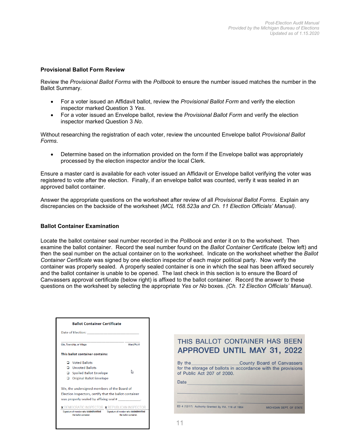#### **Provisional Ballot Form Review**

Review the *Provisional Ballot Forms* with the *Pollbook* to ensure the number issued matches the number in the Ballot Summary.

- For a voter issued an Affidavit ballot, review the *Provisional Ballot Form* and verify the election inspector marked Question 3 *Yes*.
- For a voter issued an Envelope ballot, review the *Provisional Ballot Form* and verify the election inspector marked Question 3 *No*.

Without researching the registration of each voter, review the uncounted Envelope ballot *Provisional Ballot Forms*.

• Determine based on the information provided on the form if the Envelope ballot was appropriately processed by the election inspector and/or the local Clerk.

Ensure a master card is available for each voter issued an Affidavit or Envelope ballot verifying the voter was registered to vote after the election. Finally, if an envelope ballot was counted, verify it was sealed in an approved ballot container.

Answer the appropriate questions on the worksheet after review of all *Provisional Ballot Forms*. Explain any discrepancies on the backside of the worksheet *(MCL 168.523a and Ch. 11 Election Officials' Manual)*.

#### **Ballot Container Examination**

Locate the ballot container seal number recorded in the *Pollbook* and enter it on to the worksheet. Then examine the ballot container. Record the seal number found on the *Ballot Container Certificate* (below left) and then the seal number on the actual container on to the worksheet. Indicate on the worksheet whether the *Ballot Container Certificate* was signed by one election inspector of each major political party. Now verify the container was properly sealed. A properly sealed container is one in which the seal has been affixed securely and the ballot container is unable to be opened. The last check in this section is to ensure the Board of Canvassers approval certificate (below right) is affixed to the ballot container. Record the answer to these questions on the worksheet by selecting the appropriate *Yes or No* boxes. *(Ch. 12 Election Officials' Manual).*

|        | Date of Election: Date of Election:         |                                                                                 |
|--------|---------------------------------------------|---------------------------------------------------------------------------------|
|        |                                             |                                                                                 |
|        | City, Township, or Village                  | Ward/Pct#                                                                       |
|        | This ballot container contains:             |                                                                                 |
|        | □ Voted Ballots                             |                                                                                 |
|        | □ Unvoted Ballots                           |                                                                                 |
|        | Spoiled Ballot Envelope                     |                                                                                 |
| $\Box$ | <b>Original Ballot Envelope</b>             |                                                                                 |
|        | We, the undersigned members of the Board of |                                                                                 |
|        |                                             | Election Inspectors, certify that the ballot container                          |
|        | was properly sealed by affixing seal #      |                                                                                 |
|        |                                             | <b>X</b> DEMOCRATIC INSPECTOR X REPUBLICAN INSPECTOR                            |
|        | the ballot container.                       | Signature of member who sealed/verified Signature of member who sealed/verified |

|                                                    | THIS BALLOT CONTAINER HAS BEEN<br><b>APPROVED UNTIL MAY 31, 2022</b>                              |
|----------------------------------------------------|---------------------------------------------------------------------------------------------------|
| of Public Act 207 of 2000.                         | By the County Board of Canvassers<br>for the storage of ballots in accordance with the provisions |
| Date                                               |                                                                                                   |
| ED 4 (12/17) Authority Granted By P.A. 116 of 1954 | MICHIGAN DEPT. OF STATE                                                                           |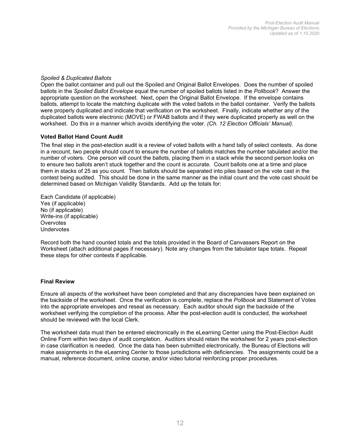#### *Spoiled & Duplicated Ballots*

Open the ballot container and pull out the Spoiled and Original Ballot Envelopes. Does the number of spoiled ballots in the *Spoiled Ballot Envelope* equal the number of spoiled ballots listed in the *Pollbook*? Answer the appropriate question on the worksheet. Next, open the Original Ballot Envelope. If the envelope contains ballots, attempt to locate the matching duplicate with the voted ballots in the ballot container. Verify the ballots were properly duplicated and indicate that verification on the worksheet. Finally, indicate whether any of the duplicated ballots were electronic (MOVE) or FWAB ballots and if they were duplicated properly as well on the worksheet. Do this in a manner which avoids identifying the voter. *(Ch. 12 Election Officials' Manual).*

#### **Voted Ballot Hand Count Audit**

The final step in the post-election audit is a review of voted ballots with a hand tally of select contests. As done in a recount, two people should count to ensure the number of ballots matches the number tabulated and/or the number of voters. One person will count the ballots, placing them in a stack while the second person looks on to ensure two ballots aren't stuck together and the count is accurate. Count ballots one at a time and place them in stacks of 25 as you count. Then ballots should be separated into piles based on the vote cast in the contest being audited. This should be done in the same manner as the initial count and the vote cast should be determined based on Michigan Validity Standards. Add up the totals for:

Each Candidate (if applicable) Yes (if applicable) No (if applicable) Write-ins (if applicable) **Overvotes Undervotes** 

Record both the hand counted totals and the totals provided in the Board of Canvassers Report on the Worksheet (attach additional pages if necessary). Note any changes from the tabulator tape totals. Repeat these steps for other contests if applicable.

#### **Final Review**

Ensure all aspects of the worksheet have been completed and that any discrepancies have been explained on the backside of the worksheet. Once the verification is complete, replace the *Pollbook* and Statement of Votes into the appropriate envelopes and reseal as necessary. Each auditor should sign the backside of the worksheet verifying the completion of the process. After the post-election audit is conducted, the worksheet should be reviewed with the local Clerk.

The worksheet data must then be entered electronically in the eLearning Center using the Post-Election Audit Online Form within two days of audit completion. Auditors should retain the worksheet for 2 years post-election in case clarification is needed. Once the data has been submitted electronically, the Bureau of Elections will make assignments in the eLearning Center to those jurisdictions with deficiencies. The assignments could be a manual, reference document, online course, and/or video tutorial reinforcing proper procedures.